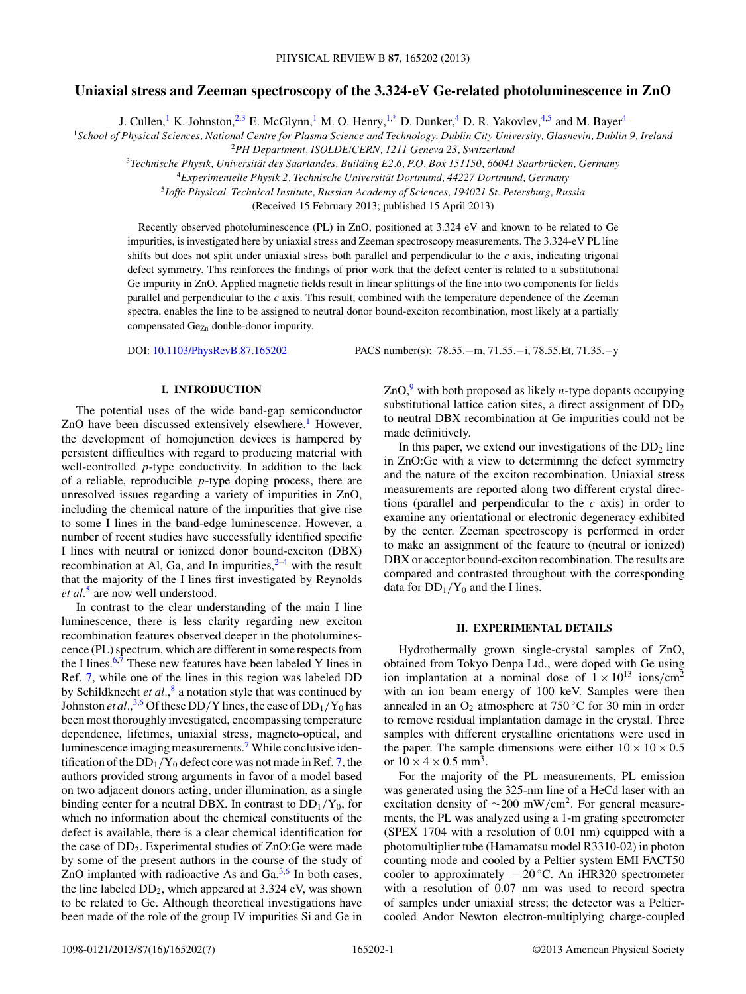# **Uniaxial stress and Zeeman spectroscopy of the 3.324-eV Ge-related photoluminescence in ZnO**

J. Cullen,<sup>1</sup> K. Johnston,<sup>2,3</sup> E. McGlynn,<sup>1</sup> M. O. Henry,<sup>1[,\\*](#page-5-0)</sup> D. Dunker,<sup>4</sup> D. R. Yakovlev,<sup>4,5</sup> and M. Bayer<sup>4</sup>

<sup>1</sup>*School of Physical Sciences, National Centre for Plasma Science and Technology, Dublin City University, Glasnevin, Dublin 9, Ireland* <sup>2</sup>*PH Department, ISOLDE/CERN, 1211 Geneva 23, Switzerland*

<sup>3</sup>Technische Physik, Universität des Saarlandes, Building E2.6, P.O. Box 151150, 66041 Saarbrücken, Germany

<sup>4</sup>*Experimentelle Physik 2, Technische Universitat Dortmund, 44227 Dortmund, Germany ¨*

<sup>5</sup>*Ioffe Physical–Technical Institute, Russian Academy of Sciences, 194021 St. Petersburg, Russia*

(Received 15 February 2013; published 15 April 2013)

Recently observed photoluminescence (PL) in ZnO, positioned at 3.324 eV and known to be related to Ge impurities, is investigated here by uniaxial stress and Zeeman spectroscopy measurements. The 3.324-eV PL line shifts but does not split under uniaxial stress both parallel and perpendicular to the *c* axis, indicating trigonal defect symmetry. This reinforces the findings of prior work that the defect center is related to a substitutional Ge impurity in ZnO. Applied magnetic fields result in linear splittings of the line into two components for fields parallel and perpendicular to the *c* axis. This result, combined with the temperature dependence of the Zeeman spectra, enables the line to be assigned to neutral donor bound-exciton recombination, most likely at a partially compensated Ge<sub>Zn</sub> double-donor impurity.

DOI: [10.1103/PhysRevB.87.165202](http://dx.doi.org/10.1103/PhysRevB.87.165202) PACS number(s): 78*.*55*.*−m, 71*.*55*.*−i, 78*.*55*.*Et, 71*.*35*.*−y

## **I. INTRODUCTION**

The potential uses of the wide band-gap semiconductor ZnO have been discussed extensively elsewhere.<sup>1</sup> However, the development of homojunction devices is hampered by persistent difficulties with regard to producing material with well-controlled *p*-type conductivity. In addition to the lack of a reliable, reproducible *p*-type doping process, there are unresolved issues regarding a variety of impurities in ZnO, including the chemical nature of the impurities that give rise to some I lines in the band-edge luminescence. However, a number of recent studies have successfully identified specific I lines with neutral or ionized donor bound-exciton (DBX) recombination at Al, Ga, and In impurities, $2^{-4}$  $2^{-4}$  $2^{-4}$  with the result that the majority of the I lines first investigated by Reynolds *et al.*[5](#page-6-0) are now well understood.

In contrast to the clear understanding of the main I line luminescence, there is less clarity regarding new exciton recombination features observed deeper in the photoluminescence (PL) spectrum, which are different in some respects from the I lines. $6,7$  These new features have been labeled Y lines in Ref. [7,](#page-6-0) while one of the lines in this region was labeled DD by Schildknecht *et al.*, [8](#page-6-0) a notation style that was continued by Johnston *et al.*,<sup>[3,6](#page-6-0)</sup> Of these DD/Y lines, the case of  $DD_1/Y_0$  has been most thoroughly investigated, encompassing temperature dependence, lifetimes, uniaxial stress, magneto-optical, and luminescence imaging measurements.[7](#page-6-0) While conclusive identification of the  $DD_1/Y_0$  defect core was not made in Ref. [7,](#page-6-0) the authors provided strong arguments in favor of a model based on two adjacent donors acting, under illumination, as a single binding center for a neutral DBX. In contrast to  $DD_1/Y_0$ , for which no information about the chemical constituents of the defect is available, there is a clear chemical identification for the case of DD2. Experimental studies of ZnO:Ge were made by some of the present authors in the course of the study of ZnO implanted with radioactive As and Ga.[3,6](#page-6-0) In both cases, the line labeled  $DD_2$ , which appeared at 3.324 eV, was shown to be related to Ge. Although theoretical investigations have been made of the role of the group IV impurities Si and Ge in  $ZnO<sub>2</sub><sup>9</sup>$  $ZnO<sub>2</sub><sup>9</sup>$  $ZnO<sub>2</sub><sup>9</sup>$  with both proposed as likely *n*-type dopants occupying substitutional lattice cation sites, a direct assignment of  $DD<sub>2</sub>$ to neutral DBX recombination at Ge impurities could not be made definitively.

In this paper, we extend our investigations of the  $DD<sub>2</sub>$  line in ZnO:Ge with a view to determining the defect symmetry and the nature of the exciton recombination. Uniaxial stress measurements are reported along two different crystal directions (parallel and perpendicular to the *c* axis) in order to examine any orientational or electronic degeneracy exhibited by the center. Zeeman spectroscopy is performed in order to make an assignment of the feature to (neutral or ionized) DBX or acceptor bound-exciton recombination. The results are compared and contrasted throughout with the corresponding data for  $DD_1/Y_0$  and the I lines.

## **II. EXPERIMENTAL DETAILS**

Hydrothermally grown single-crystal samples of ZnO, obtained from Tokyo Denpa Ltd., were doped with Ge using ion implantation at a nominal dose of  $1 \times 10^{13}$  ions/cm<sup>2</sup> with an ion beam energy of 100 keV. Samples were then annealed in an  $O_2$  atmosphere at 750 °C for 30 min in order to remove residual implantation damage in the crystal. Three samples with different crystalline orientations were used in the paper. The sample dimensions were either  $10 \times 10 \times 0.5$ or  $10 \times 4 \times 0.5$  mm<sup>3</sup>.

For the majority of the PL measurements, PL emission was generated using the 325-nm line of a HeCd laser with an excitation density of <sup>∼</sup>200 mW*/*cm2. For general measurements, the PL was analyzed using a 1-m grating spectrometer (SPEX 1704 with a resolution of 0.01 nm) equipped with a photomultiplier tube (Hamamatsu model R3310-02) in photon counting mode and cooled by a Peltier system EMI FACT50 cooler to approximately  $-20$  °C. An iHR320 spectrometer with a resolution of 0.07 nm was used to record spectra of samples under uniaxial stress; the detector was a Peltiercooled Andor Newton electron-multiplying charge-coupled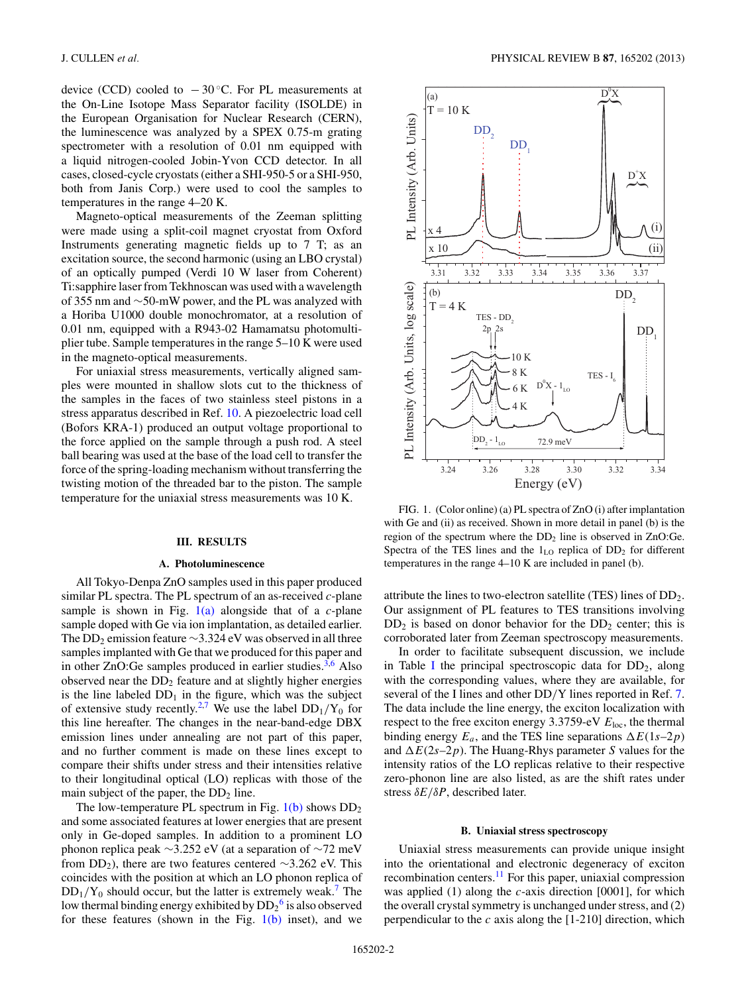device (CCD) cooled to  $-30$  °C. For PL measurements at the On-Line Isotope Mass Separator facility (ISOLDE) in the European Organisation for Nuclear Research (CERN), the luminescence was analyzed by a SPEX 0.75-m grating spectrometer with a resolution of 0.01 nm equipped with a liquid nitrogen-cooled Jobin-Yvon CCD detector. In all cases, closed-cycle cryostats (either a SHI-950-5 or a SHI-950, both from Janis Corp.) were used to cool the samples to temperatures in the range 4–20 K.

Magneto-optical measurements of the Zeeman splitting were made using a split-coil magnet cryostat from Oxford Instruments generating magnetic fields up to 7 T; as an excitation source, the second harmonic (using an LBO crystal) of an optically pumped (Verdi 10 W laser from Coherent) Ti:sapphire laser from Tekhnoscan was used with a wavelength of 355 nm and ∼50-mW power, and the PL was analyzed with a Horiba U1000 double monochromator, at a resolution of 0.01 nm, equipped with a R943-02 Hamamatsu photomultiplier tube. Sample temperatures in the range 5–10 K were used in the magneto-optical measurements.

For uniaxial stress measurements, vertically aligned samples were mounted in shallow slots cut to the thickness of the samples in the faces of two stainless steel pistons in a stress apparatus described in Ref. [10.](#page-6-0) A piezoelectric load cell (Bofors KRA-1) produced an output voltage proportional to the force applied on the sample through a push rod. A steel ball bearing was used at the base of the load cell to transfer the force of the spring-loading mechanism without transferring the twisting motion of the threaded bar to the piston. The sample temperature for the uniaxial stress measurements was 10 K.

#### **III. RESULTS**

## **A. Photoluminescence**

All Tokyo-Denpa ZnO samples used in this paper produced similar PL spectra. The PL spectrum of an as-received *c*-plane sample is shown in Fig. 1(a) alongside that of a *c*-plane sample doped with Ge via ion implantation, as detailed earlier. The DD<sub>2</sub> emission feature  $\sim$ 3.324 eV was observed in all three samples implanted with Ge that we produced for this paper and in other ZnO:Ge samples produced in earlier studies. $3,6$  Also observed near the  $DD_2$  feature and at slightly higher energies is the line labeled  $DD_1$  in the figure, which was the subject of extensive study recently.<sup>[2,](#page-5-0)[7](#page-6-0)</sup> We use the label  $DD_1/Y_0$  for this line hereafter. The changes in the near-band-edge DBX emission lines under annealing are not part of this paper, and no further comment is made on these lines except to compare their shifts under stress and their intensities relative to their longitudinal optical (LO) replicas with those of the main subject of the paper, the  $DD_2$  line.

The low-temperature PL spectrum in Fig.  $1(b)$  shows  $DD_2$ and some associated features at lower energies that are present only in Ge-doped samples. In addition to a prominent LO phonon replica peak ∼3.252 eV (at a separation of ∼72 meV from DD<sub>2</sub>), there are two features centered ∼3.262 eV. This coincides with the position at which an LO phonon replica of  $DD_1/Y_0$  should occur, but the latter is extremely weak.<sup>[7](#page-6-0)</sup> The low thermal binding energy exhibited by  $\mathrm{DD_2}^6$  $\mathrm{DD_2}^6$  is also observed for these features (shown in the Fig.  $1(b)$  inset), and we



FIG. 1. (Color online) (a) PL spectra of ZnO (i) after implantation with Ge and (ii) as received. Shown in more detail in panel (b) is the region of the spectrum where the  $DD<sub>2</sub>$  line is observed in ZnO:Ge. Spectra of the TES lines and the  $1_{LO}$  replica of  $DD<sub>2</sub>$  for different temperatures in the range 4–10 K are included in panel (b).

attribute the lines to two-electron satellite (TES) lines of DD2. Our assignment of PL features to TES transitions involving  $DD<sub>2</sub>$  is based on donor behavior for the  $DD<sub>2</sub>$  center; this is corroborated later from Zeeman spectroscopy measurements.

In order to facilitate subsequent discussion, we include in Table [I](#page-2-0) the principal spectroscopic data for  $DD_2$ , along with the corresponding values, where they are available, for several of the I lines and other DD*/*Y lines reported in Ref. [7.](#page-6-0) The data include the line energy, the exciton localization with respect to the free exciton energy 3.3759-eV *E*loc, the thermal binding energy  $E_a$ , and the TES line separations  $\Delta E(1s-2p)$ and  $\Delta E(2s-2p)$ . The Huang-Rhys parameter *S* values for the intensity ratios of the LO replicas relative to their respective zero-phonon line are also listed, as are the shift rates under stress *δE/δP*, described later.

### **B. Uniaxial stress spectroscopy**

Uniaxial stress measurements can provide unique insight into the orientational and electronic degeneracy of exciton recombination centers[.11](#page-6-0) For this paper, uniaxial compression was applied (1) along the *c*-axis direction [0001], for which the overall crystal symmetry is unchanged under stress, and (2) perpendicular to the *c* axis along the [1-210] direction, which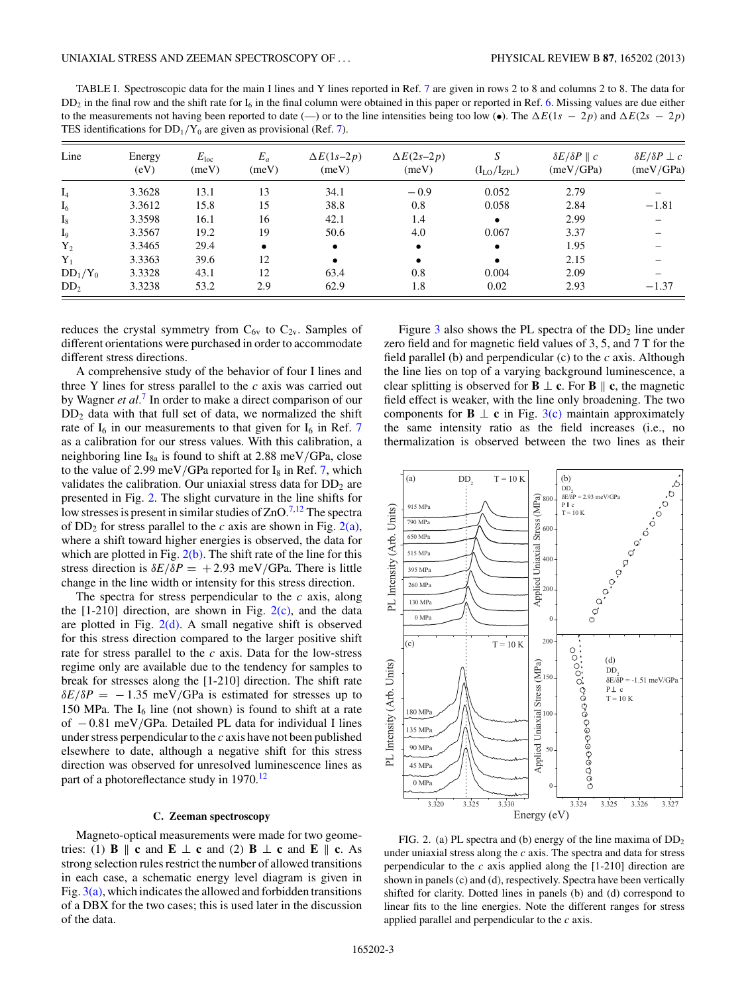<span id="page-2-0"></span>TABLE I. Spectroscopic data for the main I lines and Y lines reported in Ref. [7](#page-6-0) are given in rows 2 to 8 and columns 2 to 8. The data for  $DD_2$  in the final row and the shift rate for  $I_6$  in the final column were obtained in this paper or reported in Ref. [6.](#page-6-0) Missing values are due either to the measurements not having been reported to date (—) or to the line intensities being too low ( $\bullet$ ). The  $\Delta E(1s - 2p)$  and  $\Delta E(2s - 2p)$ TES identifications for  $DD_1/Y_0$  are given as provisional (Ref. [7\)](#page-6-0).

| Line            | Energy<br>(eV) | $E_{\rm loc}$<br>(meV) | $E_a$<br>(meV) | $\Delta E(1s-2p)$<br>(meV) | $\Delta E(2s-2p)$<br>(meV) | S<br>$(I_{LO}/I_{ZPL})$ | $\delta E/\delta P \parallel c$<br>(meV/GPa) | $\delta E/\delta P \perp c$<br>(meV/GPa) |
|-----------------|----------------|------------------------|----------------|----------------------------|----------------------------|-------------------------|----------------------------------------------|------------------------------------------|
| $I_4$           | 3.3628         | 13.1                   | 13             | 34.1                       | $-0.9$                     | 0.052                   | 2.79                                         |                                          |
| $I_6$           | 3.3612         | 15.8                   | 15             | 38.8                       | 0.8                        | 0.058                   | 2.84                                         | $-1.81$                                  |
| $I_8$           | 3.3598         | 16.1                   | 16             | 42.1                       | 1.4                        | $\bullet$               | 2.99                                         |                                          |
| $I_9$           | 3.3567         | 19.2                   | 19             | 50.6                       | 4.0                        | 0.067                   | 3.37                                         |                                          |
| $Y_2$           | 3.3465         | 29.4                   | $\bullet$      | $\bullet$                  |                            | $\bullet$               | 1.95                                         |                                          |
| $Y_1$           | 3.3363         | 39.6                   | 12             |                            |                            | $\bullet$               | 2.15                                         |                                          |
| $DD_1/Y_0$      | 3.3328         | 43.1                   | 12             | 63.4                       | 0.8                        | 0.004                   | 2.09                                         |                                          |
| DD <sub>2</sub> | 3.3238         | 53.2                   | 2.9            | 62.9                       | 1.8                        | 0.02                    | 2.93                                         | $-1.37$                                  |

reduces the crystal symmetry from  $C_{6v}$  to  $C_{2v}$ . Samples of different orientations were purchased in order to accommodate different stress directions.

A comprehensive study of the behavior of four I lines and three Y lines for stress parallel to the *c* axis was carried out by Wagner *et al.*[7](#page-6-0) In order to make a direct comparison of our  $DD<sub>2</sub>$  data with that full set of data, we normalized the shift rate of  $I_6$  in our measurements to that given for  $I_6$  in Ref. [7](#page-6-0) as a calibration for our stress values. With this calibration, a neighboring line I8a is found to shift at 2.88 meV*/*GPa, close to the value of 2.99 meV/GPa reported for  $I_8$  in Ref. [7,](#page-6-0) which validates the calibration. Our uniaxial stress data for  $DD<sub>2</sub>$  are presented in Fig. 2. The slight curvature in the line shifts for low stresses is present in similar studies of  $ZnO.<sup>7,12</sup>$  $ZnO.<sup>7,12</sup>$  $ZnO.<sup>7,12</sup>$  The spectra of  $DD_2$  for stress parallel to the *c* axis are shown in Fig. 2(a), where a shift toward higher energies is observed, the data for which are plotted in Fig.  $2(b)$ . The shift rate of the line for this stress direction is  $\delta E/\delta P = +2.93$  meV/GPa. There is little change in the line width or intensity for this stress direction.

The spectra for stress perpendicular to the *c* axis, along the  $[1-210]$  direction, are shown in Fig.  $2(c)$ , and the data are plotted in Fig.  $2(d)$ . A small negative shift is observed for this stress direction compared to the larger positive shift rate for stress parallel to the *c* axis. Data for the low-stress regime only are available due to the tendency for samples to break for stresses along the [1-210] direction. The shift rate  $\delta E/\delta P = -1.35$  meV/GPa is estimated for stresses up to 150 MPa. The  $I<sub>6</sub>$  line (not shown) is found to shift at a rate of − 0.81 meV*/*GPa. Detailed PL data for individual I lines under stress perpendicular to the *c* axis have not been published elsewhere to date, although a negative shift for this stress direction was observed for unresolved luminescence lines as part of a photoreflectance study in 1970.<sup>12</sup>

## **C. Zeeman spectroscopy**

Magneto-optical measurements were made for two geometries: (1) **B**  $\parallel$  **c** and **E**  $\perp$  **c** and (2) **B**  $\perp$  **c** and **E**  $\parallel$  **c**. As strong selection rules restrict the number of allowed transitions in each case, a schematic energy level diagram is given in Fig.  $3(a)$ , which indicates the allowed and forbidden transitions of a DBX for the two cases; this is used later in the discussion of the data.

Figure [3](#page-3-0) also shows the PL spectra of the  $DD_2$  line under zero field and for magnetic field values of 3, 5, and 7 T for the field parallel (b) and perpendicular (c) to the *c* axis. Although the line lies on top of a varying background luminescence, a clear splitting is observed for **B**  $\perp$  **c**. For **B**  $\parallel$  **c**, the magnetic field effect is weaker, with the line only broadening. The two components for **B**  $\perp$  **c** in Fig. [3\(c\)](#page-3-0) maintain approximately the same intensity ratio as the field increases (i.e., no thermalization is observed between the two lines as their



FIG. 2. (a) PL spectra and (b) energy of the line maxima of  $DD_2$ under uniaxial stress along the *c* axis. The spectra and data for stress perpendicular to the *c* axis applied along the [1-210] direction are shown in panels (c) and (d), respectively. Spectra have been vertically shifted for clarity. Dotted lines in panels (b) and (d) correspond to linear fits to the line energies. Note the different ranges for stress applied parallel and perpendicular to the *c* axis.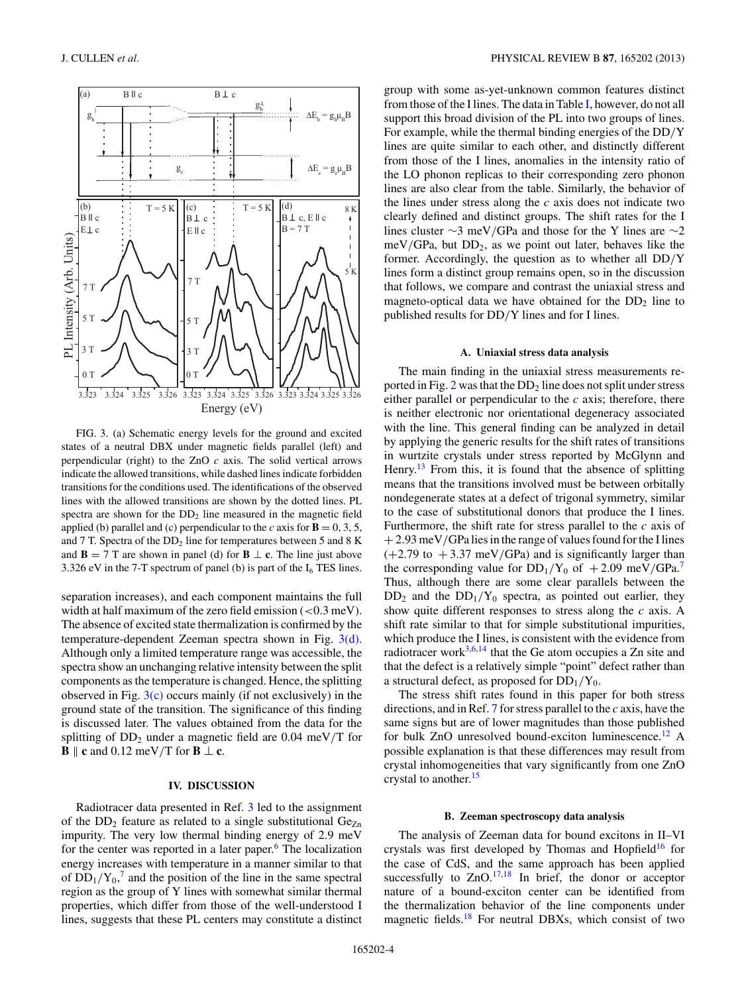<span id="page-3-0"></span>

FIG. 3. (a) Schematic energy levels for the ground and excited states of a neutral DBX under magnetic fields parallel (left) and perpendicular (right) to the ZnO *c* axis. The solid vertical arrows indicate the allowed transitions, while dashed lines indicate forbidden transitions for the conditions used. The identifications of the observed lines with the allowed transitions are shown by the dotted lines. PL spectra are shown for the DD<sub>2</sub> line measured in the magnetic field applied (b) parallel and (c) perpendicular to the *c* axis for  $\mathbf{B} = 0, 3, 5$ , and 7 T. Spectra of the DD<sub>2</sub> line for temperatures between 5 and 8 K and **B** = 7 T are shown in panel (d) for **B**  $\perp$  **c**. The line just above 3.326 eV in the 7-T spectrum of panel (b) is part of the  $I_6$  TES lines.

separation increases), and each component maintains the full width at half maximum of the zero field emission (*<*0.3 meV). The absence of excited state thermalization is confirmed by the temperature-dependent Zeeman spectra shown in Fig. 3(d). Although only a limited temperature range was accessible, the spectra show an unchanging relative intensity between the split components as the temperature is changed. Hence, the splitting observed in Fig.  $3(c)$  occurs mainly (if not exclusively) in the ground state of the transition. The significance of this finding is discussed later. The values obtained from the data for the splitting of DD2 under a magnetic field are 0.04 meV*/*T for  $\mathbf{B} \parallel \mathbf{c}$  and 0.12 meV/T for  $\mathbf{B} \perp \mathbf{c}$ .

## **IV. DISCUSSION**

Radiotracer data presented in Ref. [3](#page-6-0) led to the assignment of the  $DD_2$  feature as related to a single substitutional  $Ge_{Zn}$ impurity. The very low thermal binding energy of 2.9 meV for the center was reported in a later paper. $6$  The localization energy increases with temperature in a manner similar to that of  $DD_1/Y_0$ ,<sup>[7](#page-6-0)</sup> and the position of the line in the same spectral region as the group of Y lines with somewhat similar thermal properties, which differ from those of the well-understood I lines, suggests that these PL centers may constitute a distinct group with some as-yet-unknown common features distinct from those of the I lines. The data in Table [I,](#page-2-0) however, do not all support this broad division of the PL into two groups of lines. For example, while the thermal binding energies of the DD*/*Y lines are quite similar to each other, and distinctly different from those of the I lines, anomalies in the intensity ratio of the LO phonon replicas to their corresponding zero phonon lines are also clear from the table. Similarly, the behavior of the lines under stress along the *c* axis does not indicate two clearly defined and distinct groups. The shift rates for the I lines cluster ∼3 meV*/*GPa and those for the Y lines are ∼2 meV/GPa, but  $DD_2$ , as we point out later, behaves like the former. Accordingly, the question as to whether all DD*/*Y lines form a distinct group remains open, so in the discussion that follows, we compare and contrast the uniaxial stress and magneto-optical data we have obtained for the  $DD<sub>2</sub>$  line to published results for DD*/*Y lines and for I lines.

#### **A. Uniaxial stress data analysis**

The main finding in the uniaxial stress measurements reported in Fig.  $2$  was that the  $DD_2$  line does not split under stress either parallel or perpendicular to the *c* axis; therefore, there is neither electronic nor orientational degeneracy associated with the line. This general finding can be analyzed in detail by applying the generic results for the shift rates of transitions in wurtzite crystals under stress reported by McGlynn and Henry.<sup>[13](#page-6-0)</sup> From this, it is found that the absence of splitting means that the transitions involved must be between orbitally nondegenerate states at a defect of trigonal symmetry, similar to the case of substitutional donors that produce the I lines. Furthermore, the shift rate for stress parallel to the *c* axis of + 2.93 meV*/*GPa lies in the range of values found for the I lines  $(+2.79 \text{ to } +3.37 \text{ meV/GPa})$  and is significantly larger than the corresponding value for  $DD_1/Y_0$  of  $+2.09$  meV/GPa.<sup>[7](#page-6-0)</sup> Thus, although there are some clear parallels between the  $DD_2$  and the  $DD_1/Y_0$  spectra, as pointed out earlier, they show quite different responses to stress along the *c* axis. A shift rate similar to that for simple substitutional impurities, which produce the I lines, is consistent with the evidence from radiotracer work $3,6,14$  that the Ge atom occupies a Zn site and that the defect is a relatively simple "point" defect rather than a structural defect, as proposed for  $DD_1/Y_0$ .

The stress shift rates found in this paper for both stress directions, and in Ref. [7](#page-6-0) for stress parallel to the *c* axis, have the same signs but are of lower magnitudes than those published for bulk  $ZnO$  unresolved bound-exciton luminescence.<sup>12</sup> A possible explanation is that these differences may result from crystal inhomogeneities that vary significantly from one ZnO crystal to another.<sup>[15](#page-6-0)</sup>

#### **B. Zeeman spectroscopy data analysis**

The analysis of Zeeman data for bound excitons in II–VI crystals was first developed by Thomas and Hopfield<sup>16</sup> for the case of CdS, and the same approach has been applied successfully to  $ZnO$ .<sup>17,18</sup> In brief, the donor or acceptor nature of a bound-exciton center can be identified from the thermalization behavior of the line components under magnetic fields[.18](#page-6-0) For neutral DBXs, which consist of two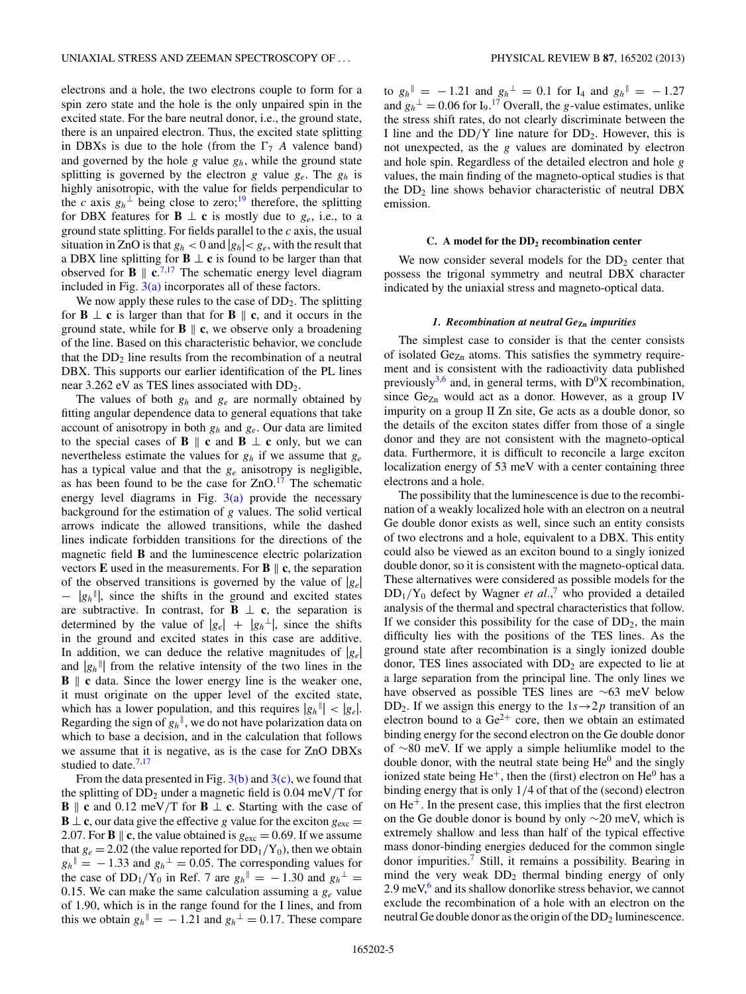electrons and a hole, the two electrons couple to form for a spin zero state and the hole is the only unpaired spin in the excited state. For the bare neutral donor, i.e., the ground state, there is an unpaired electron. Thus, the excited state splitting in DBXs is due to the hole (from the  $\Gamma_7$  *A* valence band) and governed by the hole *g* value *gh*, while the ground state splitting is governed by the electron *g* value *ge*. The *gh* is highly anisotropic, with the value for fields perpendicular to the *c* axis  $g_h^{\perp}$  being close to zero;<sup>[19](#page-6-0)</sup> therefore, the splitting for DBX features for **B**  $\perp$  **c** is mostly due to  $g_e$ , i.e., to a ground state splitting. For fields parallel to the *c* axis, the usual situation in ZnO is that  $g_h < 0$  and  $|g_h| < g_e$ , with the result that a DBX line splitting for **B** ⊥ **c** is found to be larger than that observed for **B**  $\parallel$  c.<sup>[7,17](#page-6-0)</sup> The schematic energy level diagram included in Fig.  $3(a)$  incorporates all of these factors.

We now apply these rules to the case of  $DD_2$ . The splitting for **B**  $\perp$  **c** is larger than that for **B**  $\parallel$  **c**, and it occurs in the ground state, while for  $\bf{B} \parallel \bf{c}$ , we observe only a broadening of the line. Based on this characteristic behavior, we conclude that the  $DD<sub>2</sub>$  line results from the recombination of a neutral DBX. This supports our earlier identification of the PL lines near 3.262 eV as TES lines associated with DD<sub>2</sub>.

The values of both *gh* and *ge* are normally obtained by fitting angular dependence data to general equations that take account of anisotropy in both *gh* and *ge*. Our data are limited to the special cases of **B**  $\parallel$  **c** and **B**  $\perp$  **c** only, but we can nevertheless estimate the values for *gh* if we assume that *ge* has a typical value and that the *ge* anisotropy is negligible, as has been found to be the case for  $ZnO<sup>17</sup>$  $ZnO<sup>17</sup>$  $ZnO<sup>17</sup>$  The schematic energy level diagrams in Fig.  $3(a)$  provide the necessary background for the estimation of *g* values. The solid vertical arrows indicate the allowed transitions, while the dashed lines indicate forbidden transitions for the directions of the magnetic field **B** and the luminescence electric polarization vectors **E** used in the measurements. For **B**  $\parallel$  **c**, the separation of the observed transitions is governed by the value of |*ge*| − |*gh* |, since the shifts in the ground and excited states are subtractive. In contrast, for **B**  $\perp$  **c**, the separation is determined by the value of  $|g_e| + |g_h^{\perp}|$ , since the shifts in the ground and excited states in this case are additive. In addition, we can deduce the relative magnitudes of  $|g_e|$ and  $|g_h$ <sup>||</sup>| from the relative intensity of the two lines in the **B**  $\parallel$  **c** data. Since the lower energy line is the weaker one, it must originate on the upper level of the excited state, which has a lower population, and this requires  $|g_h$ <sup>||</sup>| <  $|g_e|$ . Regarding the sign of  $g_h$ <sup> $\parallel$ </sup>, we do not have polarization data on which to base a decision, and in the calculation that follows we assume that it is negative, as is the case for ZnO DBXs studied to date. $7,17$ 

From the data presented in Fig.  $3(b)$  and  $3(c)$ , we found that the splitting of DD2 under a magnetic field is 0.04 meV*/*T for **B**  $\parallel$  **c** and 0.12 meV/T for **B**  $\perp$  **c**. Starting with the case of **B**  $\perp$  **c**, our data give the effective *g* value for the exciton  $g_{\text{exc}} =$ 2.07. For **B**  $\parallel$  **c**, the value obtained is  $g_{\text{exc}} = 0.69$ . If we assume that  $g_e = 2.02$  (the value reported for  $DD_1/Y_0$ ), then we obtain  $g_h$ <sup> $\parallel$ </sup> = −1.33 and  $g_h$ <sup> $\perp$ </sup> = 0.05. The corresponding values for the case of  $DD_1/Y_0$  in Ref. [7](#page-6-0) are  $g_h$ <sup> $\parallel$ </sup> =  $-1.30$  and  $g_h$ <sup> $\perp$ </sup> = 0.15. We can make the same calculation assuming a *ge* value of 1.90, which is in the range found for the I lines, and from this we obtain  $g_h$ <sup> $\parallel$ </sup> = -1.21 and  $g_h$ <sup> $\perp$ </sup> = 0.17. These compare

to  $g_h$ <sup> $\parallel$ </sup> = −1.21 and  $g_h$ <sup> $\perp$ </sup> = 0.1 for I<sub>4</sub> and  $g_h$ <sup> $\parallel$ </sup> = −1.27 and  $g_h^{\perp} = 0.06$  for I<sub>9</sub>.<sup>[17](#page-6-0)</sup> Overall, the *g*-value estimates, unlike the stress shift rates, do not clearly discriminate between the I line and the  $DD/Y$  line nature for  $DD_2$ . However, this is not unexpected, as the *g* values are dominated by electron and hole spin. Regardless of the detailed electron and hole *g* values, the main finding of the magneto-optical studies is that the  $DD<sub>2</sub>$  line shows behavior characteristic of neutral DBX emission.

#### **C. A model for the DD2 recombination center**

We now consider several models for the  $DD<sub>2</sub>$  center that possess the trigonal symmetry and neutral DBX character indicated by the uniaxial stress and magneto-optical data.

#### *1. Recombination at neutral Ge***Zn** *impurities*

The simplest case to consider is that the center consists of isolated  $Ge_{Zn}$  atoms. This satisfies the symmetry requirement and is consistent with the radioactivity data published previously<sup>3,6</sup> and, in general terms, with  $D^{0}X$  recombination, since  $Ge_{Zn}$  would act as a donor. However, as a group IV impurity on a group II Zn site, Ge acts as a double donor, so the details of the exciton states differ from those of a single donor and they are not consistent with the magneto-optical data. Furthermore, it is difficult to reconcile a large exciton localization energy of 53 meV with a center containing three electrons and a hole.

The possibility that the luminescence is due to the recombination of a weakly localized hole with an electron on a neutral Ge double donor exists as well, since such an entity consists of two electrons and a hole, equivalent to a DBX. This entity could also be viewed as an exciton bound to a singly ionized double donor, so it is consistent with the magneto-optical data. These alternatives were considered as possible models for the  $DD_1/Y_0$  defect by Wagner *et al.*,<sup>[7](#page-6-0)</sup> who provided a detailed analysis of the thermal and spectral characteristics that follow. If we consider this possibility for the case of  $DD_2$ , the main difficulty lies with the positions of the TES lines. As the ground state after recombination is a singly ionized double donor, TES lines associated with  $DD<sub>2</sub>$  are expected to lie at a large separation from the principal line. The only lines we have observed as possible TES lines are ∼63 meV below DD<sub>2</sub>. If we assign this energy to the  $1s \rightarrow 2p$  transition of an electron bound to a  $Ge^{2+}$  core, then we obtain an estimated binding energy for the second electron on the Ge double donor of ∼80 meV. If we apply a simple heliumlike model to the double donor, with the neutral state being  $He^{0}$  and the singly ionized state being  $He^+$ , then the (first) electron on  $He^0$  has a binding energy that is only 1*/*4 of that of the (second) electron on  $He<sup>+</sup>$ . In the present case, this implies that the first electron on the Ge double donor is bound by only ∼20 meV, which is extremely shallow and less than half of the typical effective mass donor-binding energies deduced for the common single donor impurities.[7](#page-6-0) Still, it remains a possibility. Bearing in mind the very weak  $DD_2$  thermal binding energy of only  $2.9 \,\mathrm{meV}$ ,<sup>[6](#page-6-0)</sup> and its shallow donorlike stress behavior, we cannot exclude the recombination of a hole with an electron on the neutral Ge double donor as the origin of the  $DD_2$  luminescence.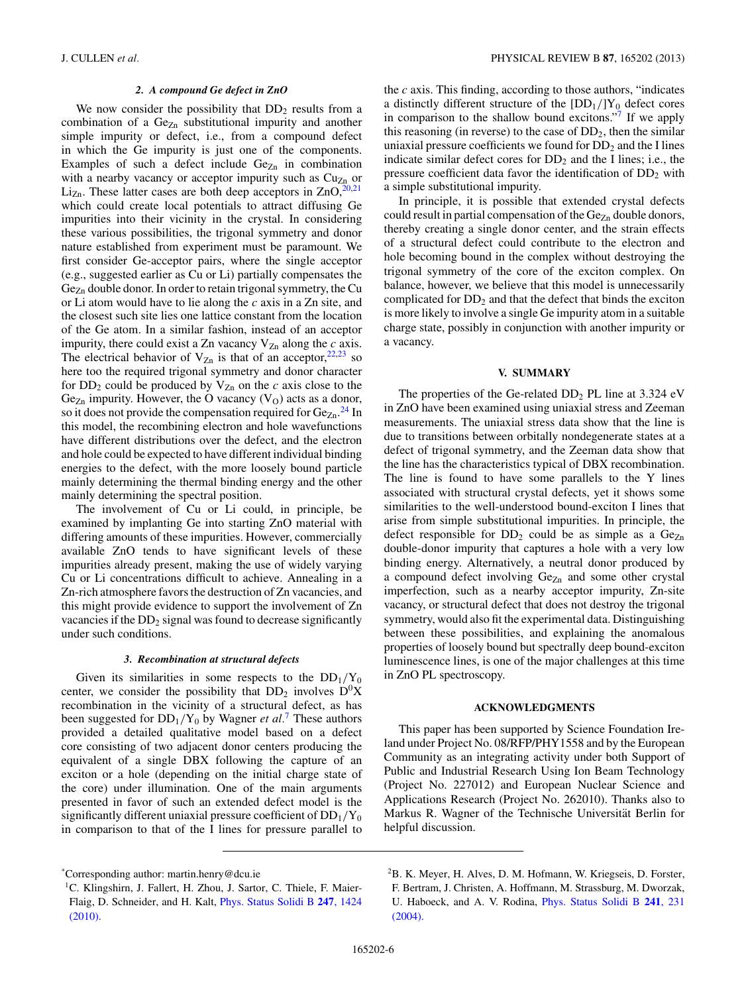## *2. A compound Ge defect in ZnO*

<span id="page-5-0"></span>We now consider the possibility that  $DD_2$  results from a combination of a  $Ge_{Zn}$  substitutional impurity and another simple impurity or defect, i.e., from a compound defect in which the Ge impurity is just one of the components. Examples of such a defect include  $Ge_{Zn}$  in combination with a nearby vacancy or acceptor impurity such as  $Cu<sub>Zn</sub>$  or  $Li_{Zn}$ . These latter cases are both deep acceptors in  $ZnO$ , <sup>20,21</sup> which could create local potentials to attract diffusing Ge impurities into their vicinity in the crystal. In considering these various possibilities, the trigonal symmetry and donor nature established from experiment must be paramount. We first consider Ge-acceptor pairs, where the single acceptor (e.g., suggested earlier as Cu or Li) partially compensates the Gez<sub>n</sub> double donor. In order to retain trigonal symmetry, the Cu or Li atom would have to lie along the *c* axis in a Zn site, and the closest such site lies one lattice constant from the location of the Ge atom. In a similar fashion, instead of an acceptor impurity, there could exist a Zn vacancy  $V_{Zn}$  along the *c* axis. The electrical behavior of  $V_{Zn}$  is that of an acceptor,  $22,23$  so here too the required trigonal symmetry and donor character for  $DD_2$  could be produced by  $V_{Zn}$  on the *c* axis close to the  $Ge_{Zn}$  impurity. However, the O vacancy  $(V<sub>O</sub>)$  acts as a donor, so it does not provide the compensation required for  $Ge_{Zn}$ .<sup>[24](#page-6-0)</sup> In this model, the recombining electron and hole wavefunctions have different distributions over the defect, and the electron and hole could be expected to have different individual binding energies to the defect, with the more loosely bound particle mainly determining the thermal binding energy and the other mainly determining the spectral position.

The involvement of Cu or Li could, in principle, be examined by implanting Ge into starting ZnO material with differing amounts of these impurities. However, commercially available ZnO tends to have significant levels of these impurities already present, making the use of widely varying Cu or Li concentrations difficult to achieve. Annealing in a Zn-rich atmosphere favors the destruction of Zn vacancies, and this might provide evidence to support the involvement of Zn vacancies if the  $DD_2$  signal was found to decrease significantly under such conditions.

#### *3. Recombination at structural defects*

Given its similarities in some respects to the  $DD_1/Y_0$ center, we consider the possibility that  $DD_2$  involves  $D^0X$ recombination in the vicinity of a structural defect, as has been suggested for  $DD_1/Y_0$  by Wagner *et al.*<sup>[7](#page-6-0)</sup> These authors provided a detailed qualitative model based on a defect core consisting of two adjacent donor centers producing the equivalent of a single DBX following the capture of an exciton or a hole (depending on the initial charge state of the core) under illumination. One of the main arguments presented in favor of such an extended defect model is the significantly different uniaxial pressure coefficient of DD1*/*Y0 in comparison to that of the I lines for pressure parallel to the *c* axis. This finding, according to those authors, "indicates a distinctly different structure of the  $[DD_1]/Y_0$  defect cores in comparison to the shallow bound excitons.["7](#page-6-0) If we apply this reasoning (in reverse) to the case of  $DD_2$ , then the similar uniaxial pressure coefficients we found for  $DD<sub>2</sub>$  and the I lines indicate similar defect cores for  $DD_2$  and the I lines; i.e., the pressure coefficient data favor the identification of  $DD<sub>2</sub>$  with a simple substitutional impurity.

In principle, it is possible that extended crystal defects could result in partial compensation of the  $Ge_{Zn}$  double donors, thereby creating a single donor center, and the strain effects of a structural defect could contribute to the electron and hole becoming bound in the complex without destroying the trigonal symmetry of the core of the exciton complex. On balance, however, we believe that this model is unnecessarily complicated for  $DD_2$  and that the defect that binds the exciton is more likely to involve a single Ge impurity atom in a suitable charge state, possibly in conjunction with another impurity or a vacancy.

## **V. SUMMARY**

The properties of the Ge-related  $DD_2$  PL line at 3.324 eV in ZnO have been examined using uniaxial stress and Zeeman measurements. The uniaxial stress data show that the line is due to transitions between orbitally nondegenerate states at a defect of trigonal symmetry, and the Zeeman data show that the line has the characteristics typical of DBX recombination. The line is found to have some parallels to the Y lines associated with structural crystal defects, yet it shows some similarities to the well-understood bound-exciton I lines that arise from simple substitutional impurities. In principle, the defect responsible for  $DD_2$  could be as simple as a  $Ge_{Zn}$ double-donor impurity that captures a hole with a very low binding energy. Alternatively, a neutral donor produced by a compound defect involving  $Ge_{Zn}$  and some other crystal imperfection, such as a nearby acceptor impurity, Zn-site vacancy, or structural defect that does not destroy the trigonal symmetry, would also fit the experimental data. Distinguishing between these possibilities, and explaining the anomalous properties of loosely bound but spectrally deep bound-exciton luminescence lines, is one of the major challenges at this time in ZnO PL spectroscopy.

## **ACKNOWLEDGMENTS**

This paper has been supported by Science Foundation Ireland under Project No. 08/RFP/PHY1558 and by the European Community as an integrating activity under both Support of Public and Industrial Research Using Ion Beam Technology (Project No. 227012) and European Nuclear Science and Applications Research (Project No. 262010). Thanks also to Markus R. Wagner of the Technische Universität Berlin for helpful discussion.

<sup>\*</sup> Corresponding author: martin.henry@dcu.ie

<sup>&</sup>lt;sup>1</sup>C. Klingshirn, J. Fallert, H. Zhou, J. Sartor, C. Thiele, F. Maier-Flaig, D. Schneider, and H. Kalt, [Phys. Status Solidi B](http://dx.doi.org/10.1002/pssb.200983195) **247**, 1424 [\(2010\).](http://dx.doi.org/10.1002/pssb.200983195)

<sup>&</sup>lt;sup>2</sup>B. K. Meyer, H. Alves, D. M. Hofmann, W. Kriegseis, D. Forster, F. Bertram, J. Christen, A. Hoffmann, M. Strassburg, M. Dworzak, U. Haboeck, and A. V. Rodina, [Phys. Status Solidi B](http://dx.doi.org/10.1002/pssb.200301962) **241**, 231 [\(2004\).](http://dx.doi.org/10.1002/pssb.200301962)